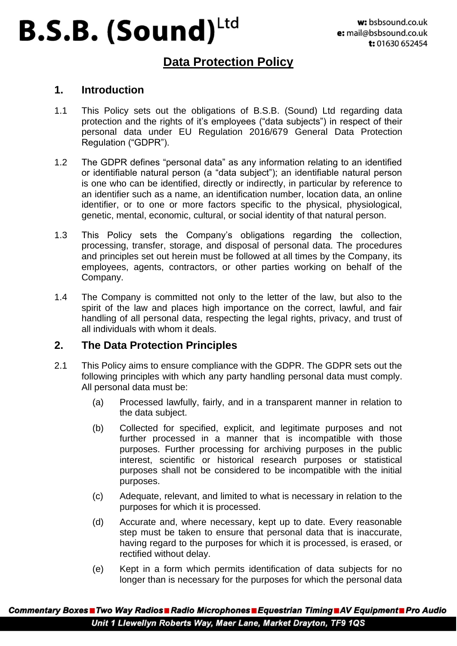### **Data Protection Policy**

#### **1. Introduction**

- 1.1 This Policy sets out the obligations of B.S.B. (Sound) Ltd regarding data protection and the rights of it's employees ("data subjects") in respect of their personal data under EU Regulation 2016/679 General Data Protection Regulation ("GDPR").
- 1.2 The GDPR defines "personal data" as any information relating to an identified or identifiable natural person (a "data subject"); an identifiable natural person is one who can be identified, directly or indirectly, in particular by reference to an identifier such as a name, an identification number, location data, an online identifier, or to one or more factors specific to the physical, physiological, genetic, mental, economic, cultural, or social identity of that natural person.
- 1.3 This Policy sets the Company's obligations regarding the collection, processing, transfer, storage, and disposal of personal data. The procedures and principles set out herein must be followed at all times by the Company, its employees, agents, contractors, or other parties working on behalf of the Company.
- 1.4 The Company is committed not only to the letter of the law, but also to the spirit of the law and places high importance on the correct, lawful, and fair handling of all personal data, respecting the legal rights, privacy, and trust of all individuals with whom it deals.

#### **2. The Data Protection Principles**

- 2.1 This Policy aims to ensure compliance with the GDPR. The GDPR sets out the following principles with which any party handling personal data must comply. All personal data must be:
	- (a) Processed lawfully, fairly, and in a transparent manner in relation to the data subject.
	- (b) Collected for specified, explicit, and legitimate purposes and not further processed in a manner that is incompatible with those purposes. Further processing for archiving purposes in the public interest, scientific or historical research purposes or statistical purposes shall not be considered to be incompatible with the initial purposes.
	- (c) Adequate, relevant, and limited to what is necessary in relation to the purposes for which it is processed.
	- (d) Accurate and, where necessary, kept up to date. Every reasonable step must be taken to ensure that personal data that is inaccurate, having regard to the purposes for which it is processed, is erased, or rectified without delay.
	- (e) Kept in a form which permits identification of data subjects for no longer than is necessary for the purposes for which the personal data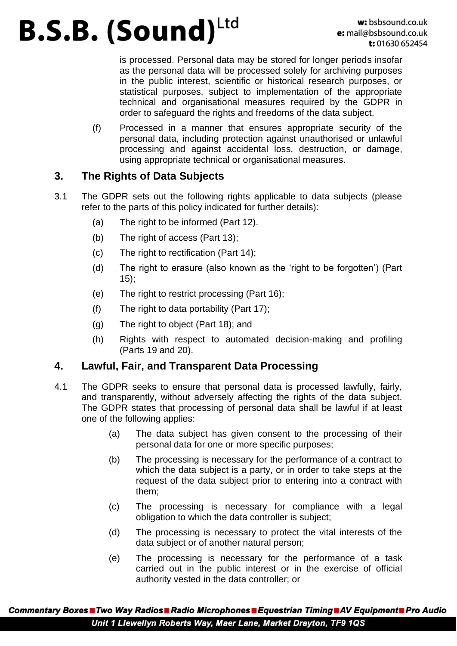is processed. Personal data may be stored for longer periods insofar as the personal data will be processed solely for archiving purposes in the public interest, scientific or historical research purposes, or statistical purposes, subject to implementation of the appropriate technical and organisational measures required by the GDPR in order to safeguard the rights and freedoms of the data subject.

(f) Processed in a manner that ensures appropriate security of the personal data, including protection against unauthorised or unlawful processing and against accidental loss, destruction, or damage, using appropriate technical or organisational measures.

### **3. The Rights of Data Subjects**

- 3.1 The GDPR sets out the following rights applicable to data subjects (please refer to the parts of this policy indicated for further details):
	- (a) The right to be informed (Part 12).
	- (b) The right of access (Part 13);
	- (c) The right to rectification (Part 14);
	- (d) The right to erasure (also known as the 'right to be forgotten') (Part 15);
	- (e) The right to restrict processing (Part 16);
	- (f) The right to data portability (Part 17);
	- (g) The right to object (Part 18); and
	- (h) Rights with respect to automated decision-making and profiling (Parts 19 and 20).

### **4. Lawful, Fair, and Transparent Data Processing**

- 4.1 The GDPR seeks to ensure that personal data is processed lawfully, fairly, and transparently, without adversely affecting the rights of the data subject. The GDPR states that processing of personal data shall be lawful if at least one of the following applies:
	- (a) The data subject has given consent to the processing of their personal data for one or more specific purposes;
	- (b) The processing is necessary for the performance of a contract to which the data subject is a party, or in order to take steps at the request of the data subject prior to entering into a contract with them;
	- (c) The processing is necessary for compliance with a legal obligation to which the data controller is subject;
	- (d) The processing is necessary to protect the vital interests of the data subject or of another natural person;
	- (e) The processing is necessary for the performance of a task carried out in the public interest or in the exercise of official authority vested in the data controller; or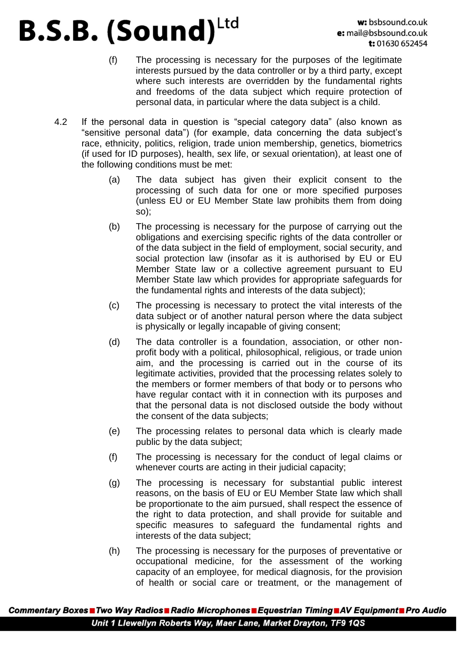- (f) The processing is necessary for the purposes of the legitimate interests pursued by the data controller or by a third party, except where such interests are overridden by the fundamental rights and freedoms of the data subject which require protection of personal data, in particular where the data subject is a child.
- 4.2 If the personal data in question is "special category data" (also known as "sensitive personal data") (for example, data concerning the data subject's race, ethnicity, politics, religion, trade union membership, genetics, biometrics (if used for ID purposes), health, sex life, or sexual orientation), at least one of the following conditions must be met:
	- (a) The data subject has given their explicit consent to the processing of such data for one or more specified purposes (unless EU or EU Member State law prohibits them from doing so);
	- (b) The processing is necessary for the purpose of carrying out the obligations and exercising specific rights of the data controller or of the data subject in the field of employment, social security, and social protection law (insofar as it is authorised by EU or EU Member State law or a collective agreement pursuant to EU Member State law which provides for appropriate safeguards for the fundamental rights and interests of the data subject);
	- (c) The processing is necessary to protect the vital interests of the data subject or of another natural person where the data subject is physically or legally incapable of giving consent;
	- (d) The data controller is a foundation, association, or other nonprofit body with a political, philosophical, religious, or trade union aim, and the processing is carried out in the course of its legitimate activities, provided that the processing relates solely to the members or former members of that body or to persons who have regular contact with it in connection with its purposes and that the personal data is not disclosed outside the body without the consent of the data subjects;
	- (e) The processing relates to personal data which is clearly made public by the data subject;
	- (f) The processing is necessary for the conduct of legal claims or whenever courts are acting in their judicial capacity;
	- (g) The processing is necessary for substantial public interest reasons, on the basis of EU or EU Member State law which shall be proportionate to the aim pursued, shall respect the essence of the right to data protection, and shall provide for suitable and specific measures to safeguard the fundamental rights and interests of the data subject;
	- (h) The processing is necessary for the purposes of preventative or occupational medicine, for the assessment of the working capacity of an employee, for medical diagnosis, for the provision of health or social care or treatment, or the management of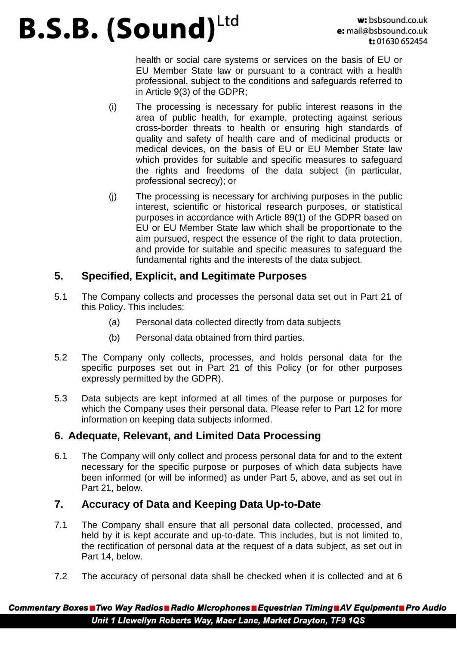health or social care systems or services on the basis of EU or EU Member State law or pursuant to a contract with a health professional, subject to the conditions and safeguards referred to in Article 9(3) of the GDPR;

- (i) The processing is necessary for public interest reasons in the area of public health, for example, protecting against serious cross-border threats to health or ensuring high standards of quality and safety of health care and of medicinal products or medical devices, on the basis of EU or EU Member State law which provides for suitable and specific measures to safeguard the rights and freedoms of the data subject (in particular, professional secrecy); or
- (j) The processing is necessary for archiving purposes in the public interest, scientific or historical research purposes, or statistical purposes in accordance with Article 89(1) of the GDPR based on EU or EU Member State law which shall be proportionate to the aim pursued, respect the essence of the right to data protection, and provide for suitable and specific measures to safeguard the fundamental rights and the interests of the data subject.

#### **5. Specified, Explicit, and Legitimate Purposes**

- 5.1 The Company collects and processes the personal data set out in Part 21 of this Policy. This includes:
	- (a) Personal data collected directly from data subjects
	- (b) Personal data obtained from third parties.
- 5.2 The Company only collects, processes, and holds personal data for the specific purposes set out in Part 21 of this Policy (or for other purposes expressly permitted by the GDPR).
- 5.3 Data subjects are kept informed at all times of the purpose or purposes for which the Company uses their personal data. Please refer to Part 12 for more information on keeping data subjects informed.

### **6. Adequate, Relevant, and Limited Data Processing**

6.1 The Company will only collect and process personal data for and to the extent necessary for the specific purpose or purposes of which data subjects have been informed (or will be informed) as under Part 5, above, and as set out in Part 21, below.

### **7. Accuracy of Data and Keeping Data Up-to-Date**

- 7.1 The Company shall ensure that all personal data collected, processed, and held by it is kept accurate and up-to-date. This includes, but is not limited to, the rectification of personal data at the request of a data subject, as set out in Part 14, below.
- 7.2 The accuracy of personal data shall be checked when it is collected and at 6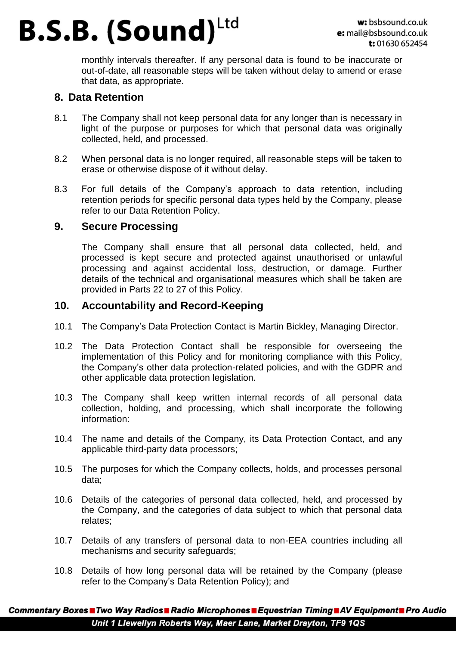monthly intervals thereafter. If any personal data is found to be inaccurate or out-of-date, all reasonable steps will be taken without delay to amend or erase that data, as appropriate.

#### **8. Data Retention**

- 8.1 The Company shall not keep personal data for any longer than is necessary in light of the purpose or purposes for which that personal data was originally collected, held, and processed.
- 8.2 When personal data is no longer required, all reasonable steps will be taken to erase or otherwise dispose of it without delay.
- 8.3 For full details of the Company's approach to data retention, including retention periods for specific personal data types held by the Company, please refer to our Data Retention Policy.

#### **9. Secure Processing**

The Company shall ensure that all personal data collected, held, and processed is kept secure and protected against unauthorised or unlawful processing and against accidental loss, destruction, or damage. Further details of the technical and organisational measures which shall be taken are provided in Parts 22 to 27 of this Policy.

#### **10. Accountability and Record-Keeping**

- 10.1 The Company's Data Protection Contact is Martin Bickley, Managing Director.
- 10.2 The Data Protection Contact shall be responsible for overseeing the implementation of this Policy and for monitoring compliance with this Policy, the Company's other data protection-related policies, and with the GDPR and other applicable data protection legislation.
- 10.3 The Company shall keep written internal records of all personal data collection, holding, and processing, which shall incorporate the following information:
- 10.4 The name and details of the Company, its Data Protection Contact, and any applicable third-party data processors;
- 10.5 The purposes for which the Company collects, holds, and processes personal data;
- 10.6 Details of the categories of personal data collected, held, and processed by the Company, and the categories of data subject to which that personal data relates;
- 10.7 Details of any transfers of personal data to non-EEA countries including all mechanisms and security safeguards;
- 10.8 Details of how long personal data will be retained by the Company (please refer to the Company's Data Retention Policy); and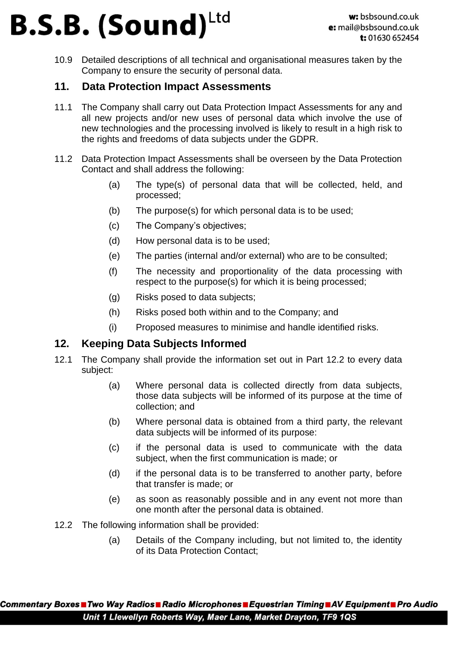10.9 Detailed descriptions of all technical and organisational measures taken by the Company to ensure the security of personal data.

### **11. Data Protection Impact Assessments**

- 11.1 The Company shall carry out Data Protection Impact Assessments for any and all new projects and/or new uses of personal data which involve the use of new technologies and the processing involved is likely to result in a high risk to the rights and freedoms of data subjects under the GDPR.
- 11.2 Data Protection Impact Assessments shall be overseen by the Data Protection Contact and shall address the following:
	- (a) The type(s) of personal data that will be collected, held, and processed;
	- (b) The purpose(s) for which personal data is to be used;
	- (c) The Company's objectives;
	- (d) How personal data is to be used;
	- (e) The parties (internal and/or external) who are to be consulted;
	- (f) The necessity and proportionality of the data processing with respect to the purpose(s) for which it is being processed;
	- (g) Risks posed to data subjects;
	- (h) Risks posed both within and to the Company; and
	- (i) Proposed measures to minimise and handle identified risks.

### **12. Keeping Data Subjects Informed**

- 12.1 The Company shall provide the information set out in Part 12.2 to every data subject:
	- (a) Where personal data is collected directly from data subjects, those data subjects will be informed of its purpose at the time of collection; and
	- (b) Where personal data is obtained from a third party, the relevant data subjects will be informed of its purpose:
	- (c) if the personal data is used to communicate with the data subject, when the first communication is made; or
	- (d) if the personal data is to be transferred to another party, before that transfer is made; or
	- (e) as soon as reasonably possible and in any event not more than one month after the personal data is obtained.
- 12.2 The following information shall be provided:
	- (a) Details of the Company including, but not limited to, the identity of its Data Protection Contact;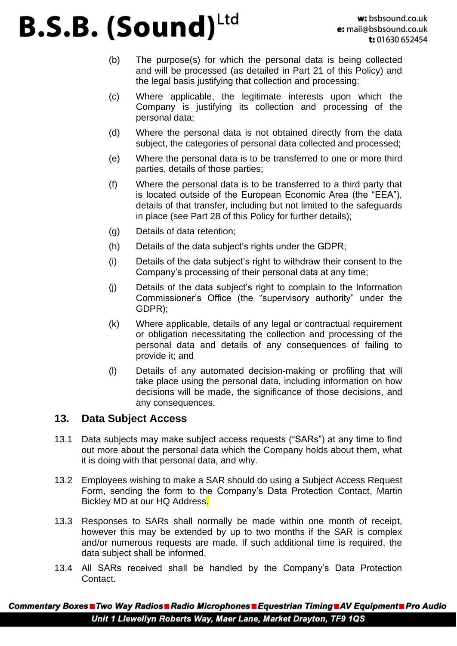- (b) The purpose(s) for which the personal data is being collected and will be processed (as detailed in Part 21 of this Policy) and the legal basis justifying that collection and processing;
- (c) Where applicable, the legitimate interests upon which the Company is justifying its collection and processing of the personal data;
- (d) Where the personal data is not obtained directly from the data subject, the categories of personal data collected and processed;
- (e) Where the personal data is to be transferred to one or more third parties, details of those parties;
- (f) Where the personal data is to be transferred to a third party that is located outside of the European Economic Area (the "EEA"), details of that transfer, including but not limited to the safeguards in place (see Part 28 of this Policy for further details);
- (g) Details of data retention;
- (h) Details of the data subject's rights under the GDPR;
- (i) Details of the data subject's right to withdraw their consent to the Company's processing of their personal data at any time;
- (j) Details of the data subject's right to complain to the Information Commissioner's Office (the "supervisory authority" under the GDPR);
- (k) Where applicable, details of any legal or contractual requirement or obligation necessitating the collection and processing of the personal data and details of any consequences of failing to provide it; and
- (l) Details of any automated decision-making or profiling that will take place using the personal data, including information on how decisions will be made, the significance of those decisions, and any consequences.

#### **13. Data Subject Access**

- 13.1 Data subjects may make subject access requests ("SARs") at any time to find out more about the personal data which the Company holds about them, what it is doing with that personal data, and why.
- 13.2 Employees wishing to make a SAR should do using a Subject Access Request Form, sending the form to the Company's Data Protection Contact, Martin Bickley MD at our HQ Address.
- 13.3 Responses to SARs shall normally be made within one month of receipt, however this may be extended by up to two months if the SAR is complex and/or numerous requests are made. If such additional time is required, the data subject shall be informed.
- 13.4 All SARs received shall be handled by the Company's Data Protection Contact.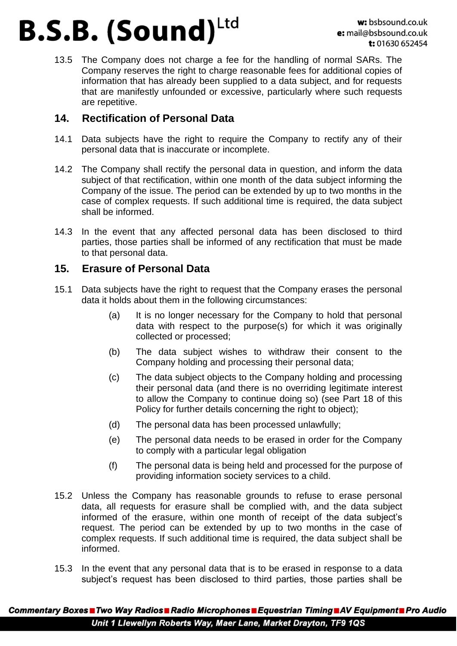13.5 The Company does not charge a fee for the handling of normal SARs. The Company reserves the right to charge reasonable fees for additional copies of information that has already been supplied to a data subject, and for requests that are manifestly unfounded or excessive, particularly where such requests are repetitive.

### **14. Rectification of Personal Data**

- 14.1 Data subjects have the right to require the Company to rectify any of their personal data that is inaccurate or incomplete.
- 14.2 The Company shall rectify the personal data in question, and inform the data subject of that rectification, within one month of the data subject informing the Company of the issue. The period can be extended by up to two months in the case of complex requests. If such additional time is required, the data subject shall be informed.
- 14.3 In the event that any affected personal data has been disclosed to third parties, those parties shall be informed of any rectification that must be made to that personal data.

#### **15. Erasure of Personal Data**

- 15.1 Data subjects have the right to request that the Company erases the personal data it holds about them in the following circumstances:
	- (a) It is no longer necessary for the Company to hold that personal data with respect to the purpose(s) for which it was originally collected or processed;
	- (b) The data subject wishes to withdraw their consent to the Company holding and processing their personal data;
	- (c) The data subject objects to the Company holding and processing their personal data (and there is no overriding legitimate interest to allow the Company to continue doing so) (see Part 18 of this Policy for further details concerning the right to object);
	- (d) The personal data has been processed unlawfully;
	- (e) The personal data needs to be erased in order for the Company to comply with a particular legal obligation
	- (f) The personal data is being held and processed for the purpose of providing information society services to a child.
- 15.2 Unless the Company has reasonable grounds to refuse to erase personal data, all requests for erasure shall be complied with, and the data subject informed of the erasure, within one month of receipt of the data subject's request. The period can be extended by up to two months in the case of complex requests. If such additional time is required, the data subject shall be informed.
- 15.3 In the event that any personal data that is to be erased in response to a data subject's request has been disclosed to third parties, those parties shall be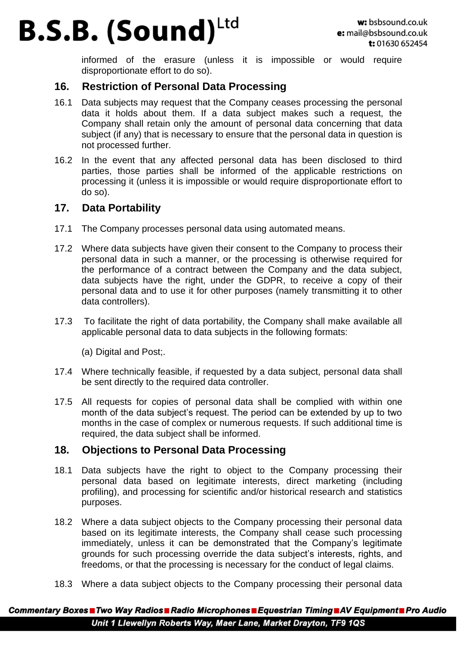informed of the erasure (unless it is impossible or would require disproportionate effort to do so).

#### **16. Restriction of Personal Data Processing**

- 16.1 Data subjects may request that the Company ceases processing the personal data it holds about them. If a data subject makes such a request, the Company shall retain only the amount of personal data concerning that data subject (if any) that is necessary to ensure that the personal data in question is not processed further.
- 16.2 In the event that any affected personal data has been disclosed to third parties, those parties shall be informed of the applicable restrictions on processing it (unless it is impossible or would require disproportionate effort to do so).

#### **17. Data Portability**

- 17.1 The Company processes personal data using automated means.
- 17.2 Where data subjects have given their consent to the Company to process their personal data in such a manner, or the processing is otherwise required for the performance of a contract between the Company and the data subject, data subjects have the right, under the GDPR, to receive a copy of their personal data and to use it for other purposes (namely transmitting it to other data controllers).
- 17.3 To facilitate the right of data portability, the Company shall make available all applicable personal data to data subjects in the following formats:

(a) Digital and Post;.

- 17.4 Where technically feasible, if requested by a data subject, personal data shall be sent directly to the required data controller.
- 17.5 All requests for copies of personal data shall be complied with within one month of the data subject's request. The period can be extended by up to two months in the case of complex or numerous requests. If such additional time is required, the data subject shall be informed.

#### **18. Objections to Personal Data Processing**

- 18.1 Data subjects have the right to object to the Company processing their personal data based on legitimate interests, direct marketing (including profiling), and processing for scientific and/or historical research and statistics purposes.
- 18.2 Where a data subject objects to the Company processing their personal data based on its legitimate interests, the Company shall cease such processing immediately, unless it can be demonstrated that the Company's legitimate grounds for such processing override the data subject's interests, rights, and freedoms, or that the processing is necessary for the conduct of legal claims.
- 18.3 Where a data subject objects to the Company processing their personal data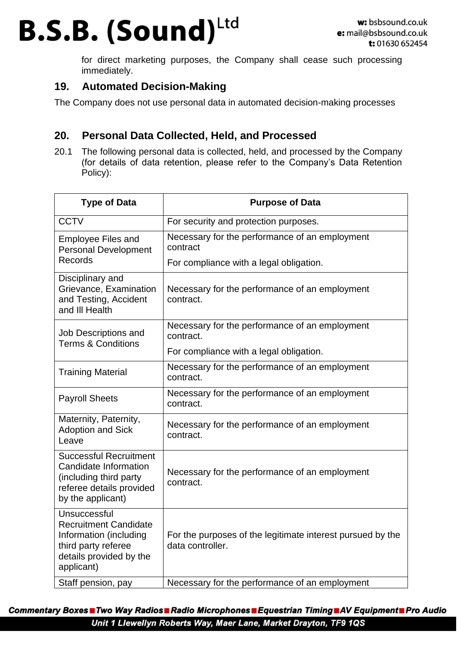for direct marketing purposes, the Company shall cease such processing immediately.

#### **19. Automated Decision-Making**

The Company does not use personal data in automated decision-making processes

### **20. Personal Data Collected, Held, and Processed**

20.1 The following personal data is collected, held, and processed by the Company (for details of data retention, please refer to the Company's Data Retention Policy):

| <b>Type of Data</b>                                                                                                                    | <b>Purpose of Data</b>                                                         |
|----------------------------------------------------------------------------------------------------------------------------------------|--------------------------------------------------------------------------------|
| <b>CCTV</b>                                                                                                                            | For security and protection purposes.                                          |
| <b>Employee Files and</b><br><b>Personal Development</b><br>Records                                                                    | Necessary for the performance of an employment<br>contract                     |
|                                                                                                                                        | For compliance with a legal obligation.                                        |
| Disciplinary and<br>Grievance, Examination<br>and Testing, Accident<br>and III Health                                                  | Necessary for the performance of an employment<br>contract.                    |
| Job Descriptions and<br><b>Terms &amp; Conditions</b>                                                                                  | Necessary for the performance of an employment<br>contract.                    |
|                                                                                                                                        | For compliance with a legal obligation.                                        |
| <b>Training Material</b>                                                                                                               | Necessary for the performance of an employment<br>contract.                    |
| <b>Payroll Sheets</b>                                                                                                                  | Necessary for the performance of an employment<br>contract.                    |
| Maternity, Paternity,<br><b>Adoption and Sick</b><br>Leave                                                                             | Necessary for the performance of an employment<br>contract.                    |
| <b>Successful Recruitment</b><br>Candidate Information<br>(including third party<br>referee details provided<br>by the applicant)      | Necessary for the performance of an employment<br>contract.                    |
| Unsuccessful<br><b>Recruitment Candidate</b><br>Information (including<br>third party referee<br>details provided by the<br>applicant) | For the purposes of the legitimate interest pursued by the<br>data controller. |
| Staff pension, pay                                                                                                                     | Necessary for the performance of an employment                                 |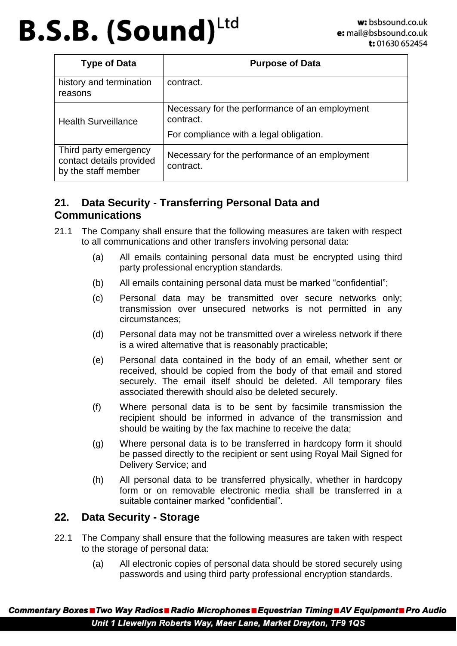| <b>Type of Data</b>                                                      | <b>Purpose of Data</b>                                      |
|--------------------------------------------------------------------------|-------------------------------------------------------------|
| history and termination<br>reasons                                       | contract.                                                   |
| <b>Health Surveillance</b>                                               | Necessary for the performance of an employment<br>contract. |
|                                                                          | For compliance with a legal obligation.                     |
| Third party emergency<br>contact details provided<br>by the staff member | Necessary for the performance of an employment<br>contract. |

#### **21. Data Security - Transferring Personal Data and Communications**

- 21.1 The Company shall ensure that the following measures are taken with respect to all communications and other transfers involving personal data:
	- (a) All emails containing personal data must be encrypted using third party professional encryption standards.
	- (b) All emails containing personal data must be marked "confidential";
	- (c) Personal data may be transmitted over secure networks only; transmission over unsecured networks is not permitted in any circumstances;
	- (d) Personal data may not be transmitted over a wireless network if there is a wired alternative that is reasonably practicable;
	- (e) Personal data contained in the body of an email, whether sent or received, should be copied from the body of that email and stored securely. The email itself should be deleted. All temporary files associated therewith should also be deleted securely.
	- (f) Where personal data is to be sent by facsimile transmission the recipient should be informed in advance of the transmission and should be waiting by the fax machine to receive the data;
	- (g) Where personal data is to be transferred in hardcopy form it should be passed directly to the recipient or sent using Royal Mail Signed for Delivery Service; and
	- (h) All personal data to be transferred physically, whether in hardcopy form or on removable electronic media shall be transferred in a suitable container marked "confidential".

#### **22. Data Security - Storage**

- 22.1 The Company shall ensure that the following measures are taken with respect to the storage of personal data:
	- (a) All electronic copies of personal data should be stored securely using passwords and using third party professional encryption standards.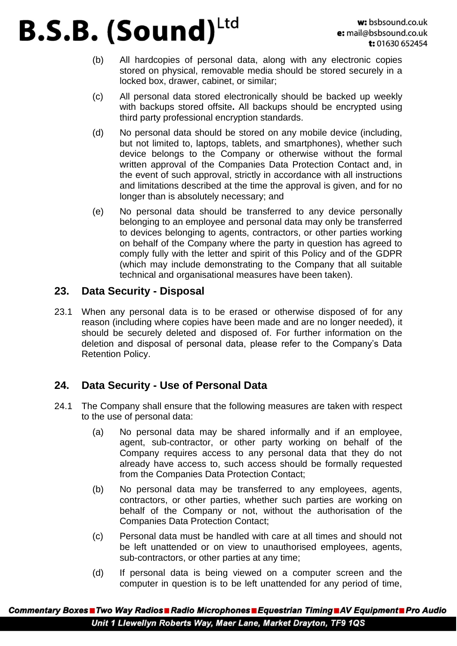- (b) All hardcopies of personal data, along with any electronic copies stored on physical, removable media should be stored securely in a locked box, drawer, cabinet, or similar;
- (c) All personal data stored electronically should be backed up weekly with backups stored offsite**.** All backups should be encrypted using third party professional encryption standards.
- (d) No personal data should be stored on any mobile device (including, but not limited to, laptops, tablets, and smartphones), whether such device belongs to the Company or otherwise without the formal written approval of the Companies Data Protection Contact and, in the event of such approval, strictly in accordance with all instructions and limitations described at the time the approval is given, and for no longer than is absolutely necessary; and
- (e) No personal data should be transferred to any device personally belonging to an employee and personal data may only be transferred to devices belonging to agents, contractors, or other parties working on behalf of the Company where the party in question has agreed to comply fully with the letter and spirit of this Policy and of the GDPR (which may include demonstrating to the Company that all suitable technical and organisational measures have been taken).

#### **23. Data Security - Disposal**

23.1 When any personal data is to be erased or otherwise disposed of for any reason (including where copies have been made and are no longer needed), it should be securely deleted and disposed of. For further information on the deletion and disposal of personal data, please refer to the Company's Data Retention Policy.

### **24. Data Security - Use of Personal Data**

- 24.1 The Company shall ensure that the following measures are taken with respect to the use of personal data:
	- (a) No personal data may be shared informally and if an employee, agent, sub-contractor, or other party working on behalf of the Company requires access to any personal data that they do not already have access to, such access should be formally requested from the Companies Data Protection Contact;
	- (b) No personal data may be transferred to any employees, agents, contractors, or other parties, whether such parties are working on behalf of the Company or not, without the authorisation of the Companies Data Protection Contact;
	- (c) Personal data must be handled with care at all times and should not be left unattended or on view to unauthorised employees, agents, sub-contractors, or other parties at any time;
	- (d) If personal data is being viewed on a computer screen and the computer in question is to be left unattended for any period of time,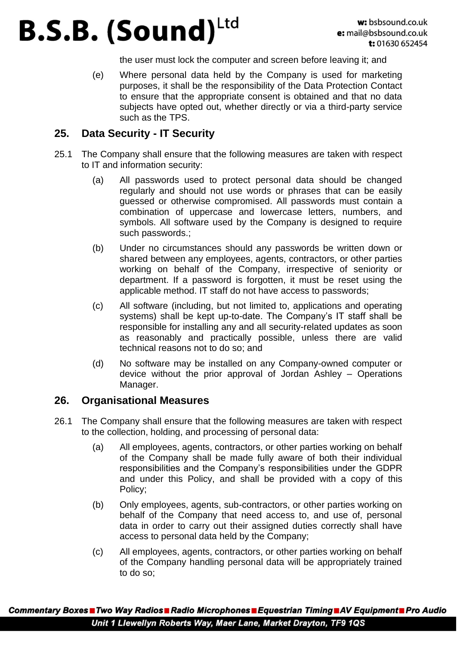the user must lock the computer and screen before leaving it; and

(e) Where personal data held by the Company is used for marketing purposes, it shall be the responsibility of the Data Protection Contact to ensure that the appropriate consent is obtained and that no data subjects have opted out, whether directly or via a third-party service such as the TPS.

#### **25. Data Security - IT Security**

- 25.1 The Company shall ensure that the following measures are taken with respect to IT and information security:
	- (a) All passwords used to protect personal data should be changed regularly and should not use words or phrases that can be easily guessed or otherwise compromised. All passwords must contain a combination of uppercase and lowercase letters, numbers, and symbols. All software used by the Company is designed to require such passwords.;
	- (b) Under no circumstances should any passwords be written down or shared between any employees, agents, contractors, or other parties working on behalf of the Company, irrespective of seniority or department. If a password is forgotten, it must be reset using the applicable method. IT staff do not have access to passwords;
	- (c) All software (including, but not limited to, applications and operating systems) shall be kept up-to-date. The Company's IT staff shall be responsible for installing any and all security-related updates as soon as reasonably and practically possible, unless there are valid technical reasons not to do so; and
	- (d) No software may be installed on any Company-owned computer or device without the prior approval of Jordan Ashley – Operations Manager.

#### **26. Organisational Measures**

- 26.1 The Company shall ensure that the following measures are taken with respect to the collection, holding, and processing of personal data:
	- (a) All employees, agents, contractors, or other parties working on behalf of the Company shall be made fully aware of both their individual responsibilities and the Company's responsibilities under the GDPR and under this Policy, and shall be provided with a copy of this Policy;
	- (b) Only employees, agents, sub-contractors, or other parties working on behalf of the Company that need access to, and use of, personal data in order to carry out their assigned duties correctly shall have access to personal data held by the Company;
	- (c) All employees, agents, contractors, or other parties working on behalf of the Company handling personal data will be appropriately trained to do so;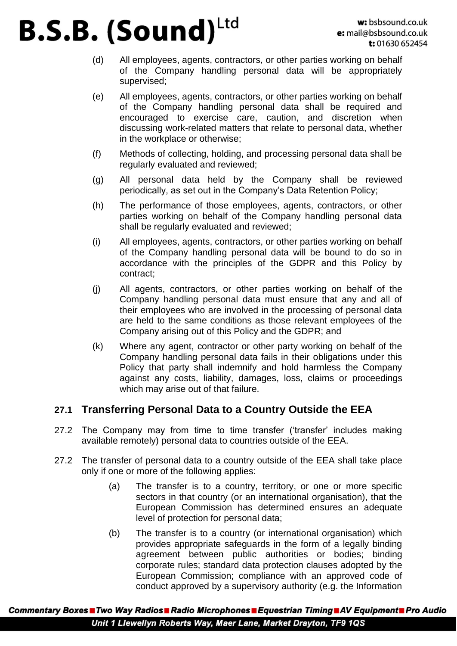- (d) All employees, agents, contractors, or other parties working on behalf of the Company handling personal data will be appropriately supervised;
- (e) All employees, agents, contractors, or other parties working on behalf of the Company handling personal data shall be required and encouraged to exercise care, caution, and discretion when discussing work-related matters that relate to personal data, whether in the workplace or otherwise;
- (f) Methods of collecting, holding, and processing personal data shall be regularly evaluated and reviewed;
- (g) All personal data held by the Company shall be reviewed periodically, as set out in the Company's Data Retention Policy;
- (h) The performance of those employees, agents, contractors, or other parties working on behalf of the Company handling personal data shall be regularly evaluated and reviewed;
- (i) All employees, agents, contractors, or other parties working on behalf of the Company handling personal data will be bound to do so in accordance with the principles of the GDPR and this Policy by contract;
- (j) All agents, contractors, or other parties working on behalf of the Company handling personal data must ensure that any and all of their employees who are involved in the processing of personal data are held to the same conditions as those relevant employees of the Company arising out of this Policy and the GDPR; and
- (k) Where any agent, contractor or other party working on behalf of the Company handling personal data fails in their obligations under this Policy that party shall indemnify and hold harmless the Company against any costs, liability, damages, loss, claims or proceedings which may arise out of that failure.

#### **27.1 Transferring Personal Data to a Country Outside the EEA**

- 27.2 The Company may from time to time transfer ('transfer' includes making available remotely) personal data to countries outside of the EEA.
- 27.2 The transfer of personal data to a country outside of the EEA shall take place only if one or more of the following applies:
	- (a) The transfer is to a country, territory, or one or more specific sectors in that country (or an international organisation), that the European Commission has determined ensures an adequate level of protection for personal data;
	- (b) The transfer is to a country (or international organisation) which provides appropriate safeguards in the form of a legally binding agreement between public authorities or bodies; binding corporate rules; standard data protection clauses adopted by the European Commission; compliance with an approved code of conduct approved by a supervisory authority (e.g. the Information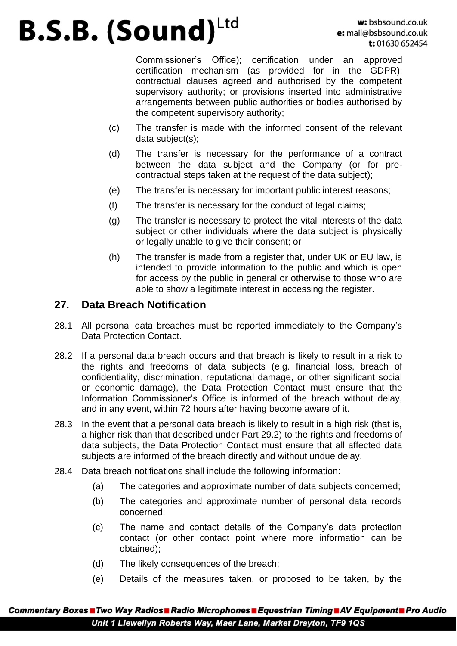Commissioner's Office); certification under an approved certification mechanism (as provided for in the GDPR); contractual clauses agreed and authorised by the competent supervisory authority; or provisions inserted into administrative arrangements between public authorities or bodies authorised by the competent supervisory authority;

- (c) The transfer is made with the informed consent of the relevant data subject(s);
- (d) The transfer is necessary for the performance of a contract between the data subject and the Company (or for precontractual steps taken at the request of the data subject);
- (e) The transfer is necessary for important public interest reasons;
- (f) The transfer is necessary for the conduct of legal claims;
- (g) The transfer is necessary to protect the vital interests of the data subject or other individuals where the data subject is physically or legally unable to give their consent; or
- (h) The transfer is made from a register that, under UK or EU law, is intended to provide information to the public and which is open for access by the public in general or otherwise to those who are able to show a legitimate interest in accessing the register.

#### **27. Data Breach Notification**

- 28.1 All personal data breaches must be reported immediately to the Company's Data Protection Contact.
- 28.2 If a personal data breach occurs and that breach is likely to result in a risk to the rights and freedoms of data subjects (e.g. financial loss, breach of confidentiality, discrimination, reputational damage, or other significant social or economic damage), the Data Protection Contact must ensure that the Information Commissioner's Office is informed of the breach without delay, and in any event, within 72 hours after having become aware of it.
- 28.3 In the event that a personal data breach is likely to result in a high risk (that is, a higher risk than that described under Part 29.2) to the rights and freedoms of data subjects, the Data Protection Contact must ensure that all affected data subjects are informed of the breach directly and without undue delay.
- 28.4 Data breach notifications shall include the following information:
	- (a) The categories and approximate number of data subjects concerned;
	- (b) The categories and approximate number of personal data records concerned;
	- (c) The name and contact details of the Company's data protection contact (or other contact point where more information can be obtained);
	- (d) The likely consequences of the breach;
	- (e) Details of the measures taken, or proposed to be taken, by the